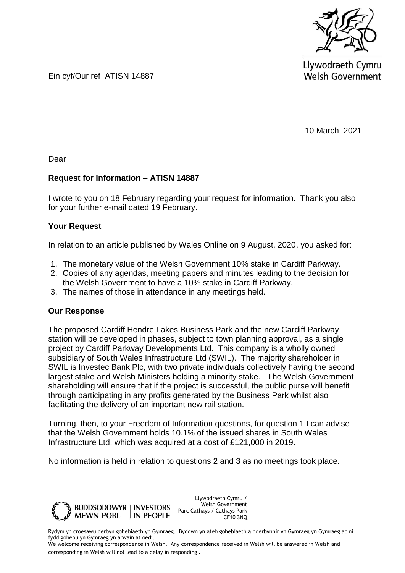

Llywodraeth Cymru **Welsh Government** 

Ein cyf/Our ref ATISN 14887

10 March 2021

Dear

## **Request for Information – ATISN 14887**

I wrote to you on 18 February regarding your request for information. Thank you also for your further e-mail dated 19 February.

## **Your Request**

In relation to an article published by Wales Online on 9 August, 2020, you asked for:

- 1. The monetary value of the Welsh Government 10% stake in Cardiff Parkway.
- 2. Copies of any agendas, meeting papers and minutes leading to the decision for the Welsh Government to have a 10% stake in Cardiff Parkway.
- 3. The names of those in attendance in any meetings held.

## **Our Response**

The proposed Cardiff Hendre Lakes Business Park and the new Cardiff Parkway station will be developed in phases, subject to town planning approval, as a single project by Cardiff Parkway Developments Ltd. This company is a wholly owned subsidiary of South Wales Infrastructure Ltd (SWIL). The majority shareholder in SWIL is Investec Bank Plc, with two private individuals collectively having the second largest stake and Welsh Ministers holding a minority stake. The Welsh Government shareholding will ensure that if the project is successful, the public purse will benefit through participating in any profits generated by the Business Park whilst also facilitating the delivery of an important new rail station.

Turning, then, to your Freedom of Information questions, for question 1 I can advise that the Welsh Government holds 10.1% of the issued shares in South Wales Infrastructure Ltd, which was acquired at a cost of £121,000 in 2019.

No information is held in relation to questions 2 and 3 as no meetings took place.



Llywodraeth Cymru / Welsh Government Parc Cathays / Cathays Park CF10 3NQ

Rydym yn croesawu derbyn gohebiaeth yn Gymraeg. Byddwn yn ateb gohebiaeth a dderbynnir yn Gymraeg yn Gymraeg ac ni fydd gohebu yn Gymraeg yn arwain at oedi.

We welcome receiving correspondence in Welsh. Any correspondence received in Welsh will be answered in Welsh and corresponding in Welsh will not lead to a delay in responding.